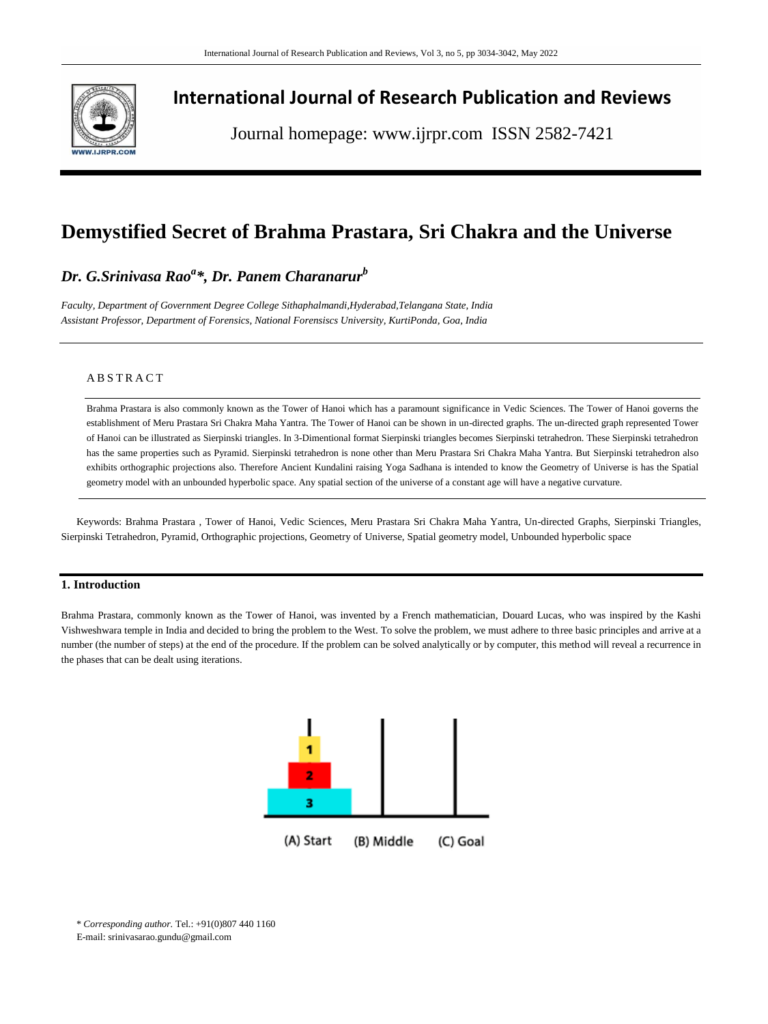

# **International Journal of Research Publication and Reviews**

Journal homepage: www.ijrpr.com ISSN 2582-7421

# **Demystified Secret of Brahma Prastara, Sri Chakra and the Universe**

## *Dr. G.Srinivasa Rao<sup>a</sup> \*, Dr. Panem Charanarur<sup>b</sup>*

*Faculty, Department of Government Degree College Sithaphalmandi,Hyderabad,Telangana State, India Assistant Professor, Department of Forensics, National Forensiscs University, KurtiPonda, Goa, India*

## **ABSTRACT**

Brahma Prastara is also commonly known as the Tower of Hanoi which has a paramount significance in Vedic Sciences. The Tower of Hanoi governs the establishment of Meru Prastara Sri Chakra Maha Yantra. The Tower of Hanoi can be shown in un-directed graphs. The un-directed graph represented Tower of Hanoi can be illustrated as Sierpinski triangles. In 3-Dimentional format Sierpinski triangles becomes Sierpinski tetrahedron. These Sierpinski tetrahedron has the same properties such as Pyramid. Sierpinski tetrahedron is none other than Meru Prastara Sri Chakra Maha Yantra. But Sierpinski tetrahedron also exhibits orthographic projections also. Therefore Ancient Kundalini raising Yoga Sadhana is intended to know the Geometry of Universe is has the Spatial geometry model with an unbounded hyperbolic space. Any spatial section of the universe of a constant age will have a negative curvature.

Keywords: Brahma Prastara , Tower of Hanoi, Vedic Sciences, Meru Prastara Sri Chakra Maha Yantra, Un-directed Graphs, Sierpinski Triangles, Sierpinski Tetrahedron, Pyramid, Orthographic projections, Geometry of Universe, Spatial geometry model, Unbounded hyperbolic space

## **1. Introduction**

Brahma Prastara, commonly known as the Tower of Hanoi, was invented by a French mathematician, Douard Lucas, who was inspired by the Kashi Vishweshwara temple in India and decided to bring the problem to the West. To solve the problem, we must adhere to three basic principles and arrive at a number (the number of steps) at the end of the procedure. If the problem can be solved analytically or by computer, this method will reveal a recurrence in the phases that can be dealt using iterations.



\* *Corresponding author.* Tel.: +91(0)807 440 1160 E-mail: srinivasarao.gundu@gmail.com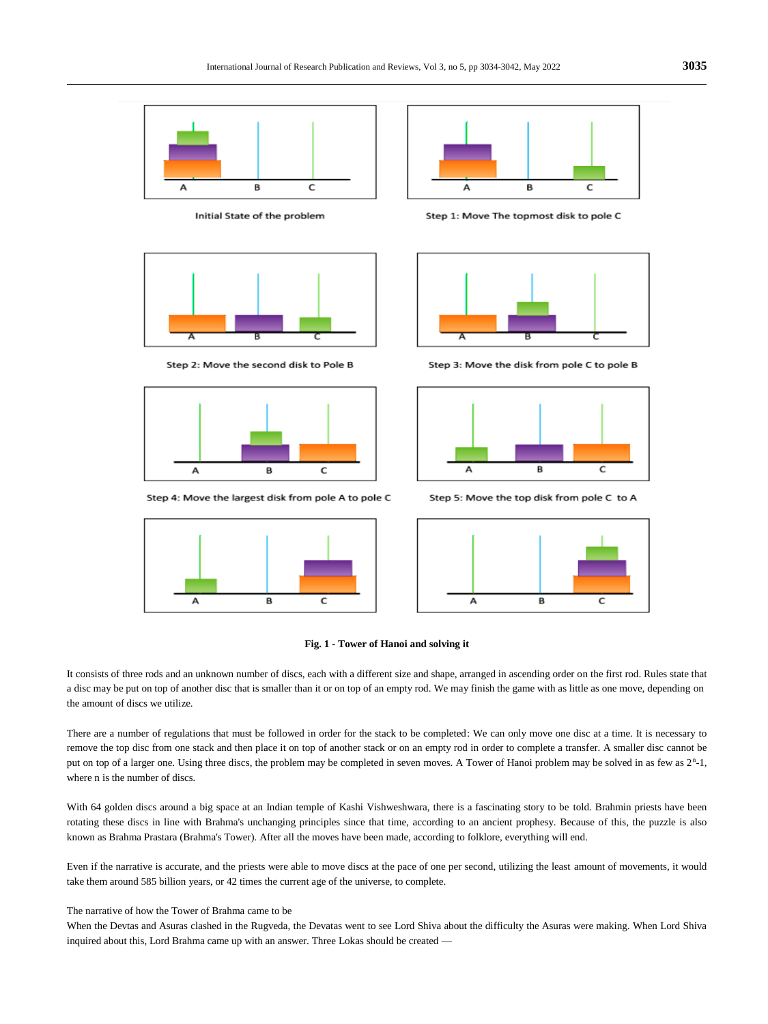

Initial State of the problem



Step 2: Move the second disk to Pole B



Step 4: Move the largest disk from pole A to pole C





Step 1: Move The topmost disk to pole C



Step 3: Move the disk from pole C to pole B



Step 5: Move the top disk from pole C to A





It consists of three rods and an unknown number of discs, each with a different size and shape, arranged in ascending order on the first rod. Rules state that a disc may be put on top of another disc that is smaller than it or on top of an empty rod. We may finish the game with as little as one move, depending on the amount of discs we utilize.

There are a number of regulations that must be followed in order for the stack to be completed: We can only move one disc at a time. It is necessary to remove the top disc from one stack and then place it on top of another stack or on an empty rod in order to complete a transfer. A smaller disc cannot be put on top of a larger one. Using three discs, the problem may be completed in seven moves. A Tower of Hanoi problem may be solved in as few as  $2<sup>n</sup>$ -1, where n is the number of discs.

With 64 golden discs around a big space at an Indian temple of Kashi Vishweshwara, there is a fascinating story to be told. Brahmin priests have been rotating these discs in line with Brahma's unchanging principles since that time, according to an ancient prophesy. Because of this, the puzzle is also known as Brahma Prastara (Brahma's Tower). After all the moves have been made, according to folklore, everything will end.

Even if the narrative is accurate, and the priests were able to move discs at the pace of one per second, utilizing the least amount of movements, it would take them around 585 billion years, or 42 times the current age of the universe, to complete.

#### The narrative of how the Tower of Brahma came to be

When the Devtas and Asuras clashed in the Rugveda, the Devatas went to see Lord Shiva about the difficulty the Asuras were making. When Lord Shiva inquired about this, Lord Brahma came up with an answer. Three Lokas should be created —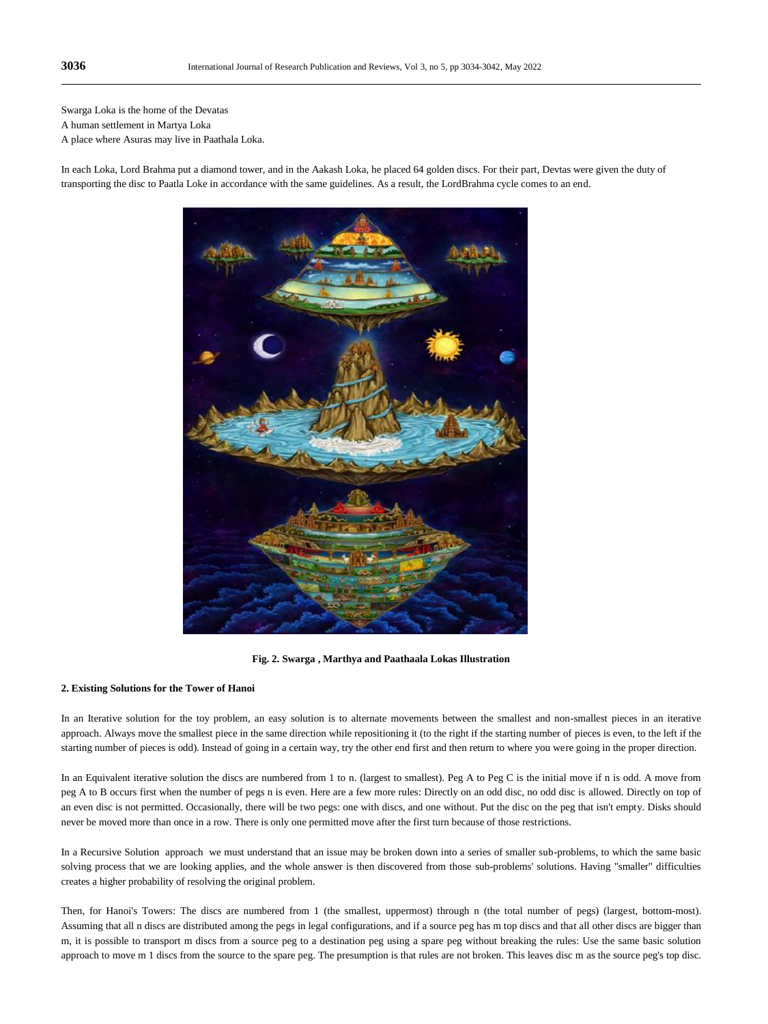Swarga Loka is the home of the Devatas

A human settlement in Martya Loka

A place where Asuras may live in Paathala Loka.

In each Loka, Lord Brahma put a diamond tower, and in the Aakash Loka, he placed 64 golden discs. For their part, Devtas were given the duty of transporting the disc to Paatla Loke in accordance with the same guidelines. As a result, the LordBrahma cycle comes to an end.



**Fig. 2. Swarga , Marthya and Paathaala Lokas Illustration**

#### **2. Existing Solutions for the Tower of Hanoi**

In an Iterative solution for the toy problem, an easy solution is to alternate movements between the smallest and non-smallest pieces in an iterative approach. Always move the smallest piece in the same direction while repositioning it (to the right if the starting number of pieces is even, to the left if the starting number of pieces is odd). Instead of going in a certain way, try the other end first and then return to where you were going in the proper direction.

In an Equivalent iterative solution the discs are numbered from 1 to n. (largest to smallest). Peg A to Peg C is the initial move if n is odd. A move from peg A to B occurs first when the number of pegs n is even. Here are a few more rules: Directly on an odd disc, no odd disc is allowed. Directly on top of an even disc is not permitted. Occasionally, there will be two pegs: one with discs, and one without. Put the disc on the peg that isn't empty. Disks should never be moved more than once in a row. There is only one permitted move after the first turn because of those restrictions.

In a Recursive Solution approach we must understand that an issue may be broken down into a series of smaller sub-problems, to which the same basic solving process that we are looking applies, and the whole answer is then discovered from those sub-problems' solutions. Having "smaller" difficulties creates a higher probability of resolving the original problem.

Then, for Hanoi's Towers: The discs are numbered from 1 (the smallest, uppermost) through n (the total number of pegs) (largest, bottom-most). Assuming that all n discs are distributed among the pegs in legal configurations, and if a source peg has m top discs and that all other discs are bigger than m, it is possible to transport m discs from a source peg to a destination peg using a spare peg without breaking the rules: Use the same basic solution approach to move m 1 discs from the source to the spare peg. The presumption is that rules are not broken. This leaves disc m as the source peg's top disc.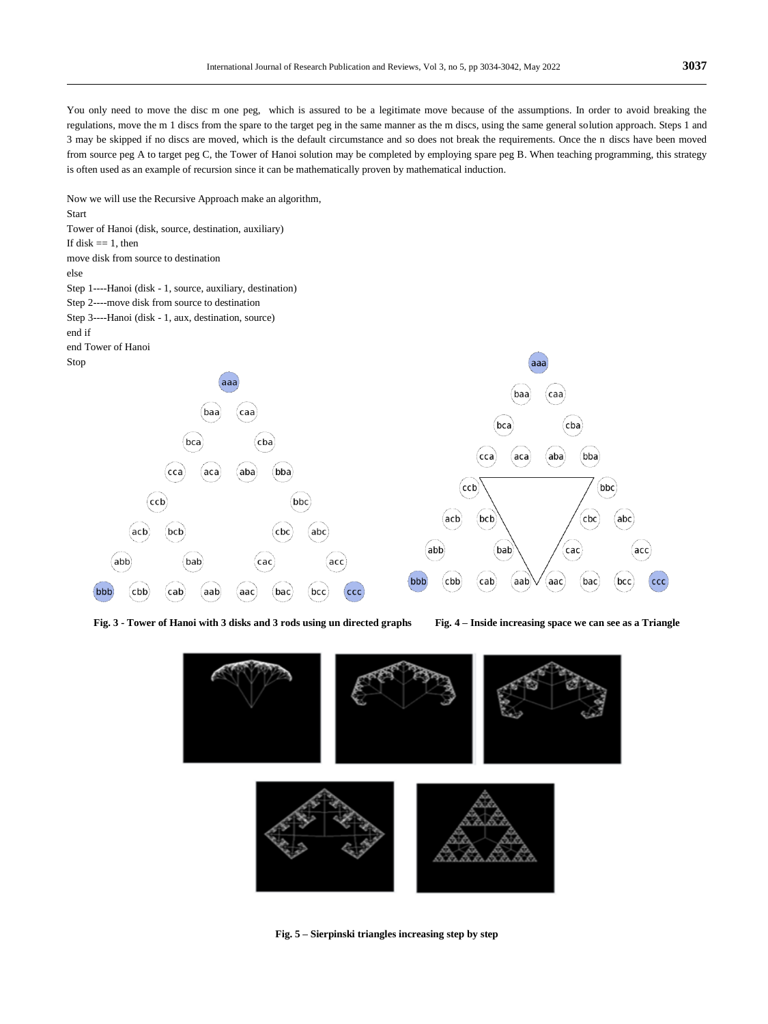You only need to move the disc m one peg, which is assured to be a legitimate move because of the assumptions. In order to avoid breaking the regulations, move the m 1 discs from the spare to the target peg in the same manner as the m discs, using the same general solution approach. Steps 1 and 3 may be skipped if no discs are moved, which is the default circumstance and so does not break the requirements. Once the n discs have been moved from source peg A to target peg C, the Tower of Hanoi solution may be completed by employing spare peg B. When teaching programming, this strategy is often used as an example of recursion since it can be mathematically proven by mathematical induction.

Now we will use the Recursive Approach make an algorithm, Start Tower of Hanoi (disk, source, destination, auxiliary) If disk  $== 1$ , then move disk from source to destination else Step 1----Hanoi (disk - 1, source, auxiliary, destination) Step 2----move disk from source to destination Step 3----Hanoi (disk - 1, aux, destination, source) end if end Tower of Hanoi Stop aaa aaa  $\left($ caa baa  $(baa)$  $(c$ aa (bca)  $(cba)$ cba  $($ bca $)$ (bba  $(\mathsf{cca})$ (aca aba cca) (aca aba) (bba  $(ccb)$  $(bbc)$  $\overline{\mathsf{ccb}}$  $(bbc)$ acb bcb  $cbc$  $abc$ (acb  $($ bc $\mathsf{b}$  $c$ bc  $(abc)$  $(abb)$ bab  $\left($ cac $\right)$ acc  $(abb)$ bab cac acc bbb cbb  $(\mathsf{cab})$  $(aab)$  $\left( \right)$ aac bac bcc ccc bbb cbb)  $(bcc)$ cab (aab aac (bac ccc

**Fig. 3 - Tower of Hanoi with 3 disks and 3 rods using un directed graphs Fig. 4 – Inside increasing space we can see as a Triangle**



**Fig. 5 – Sierpinski triangles increasing step by step**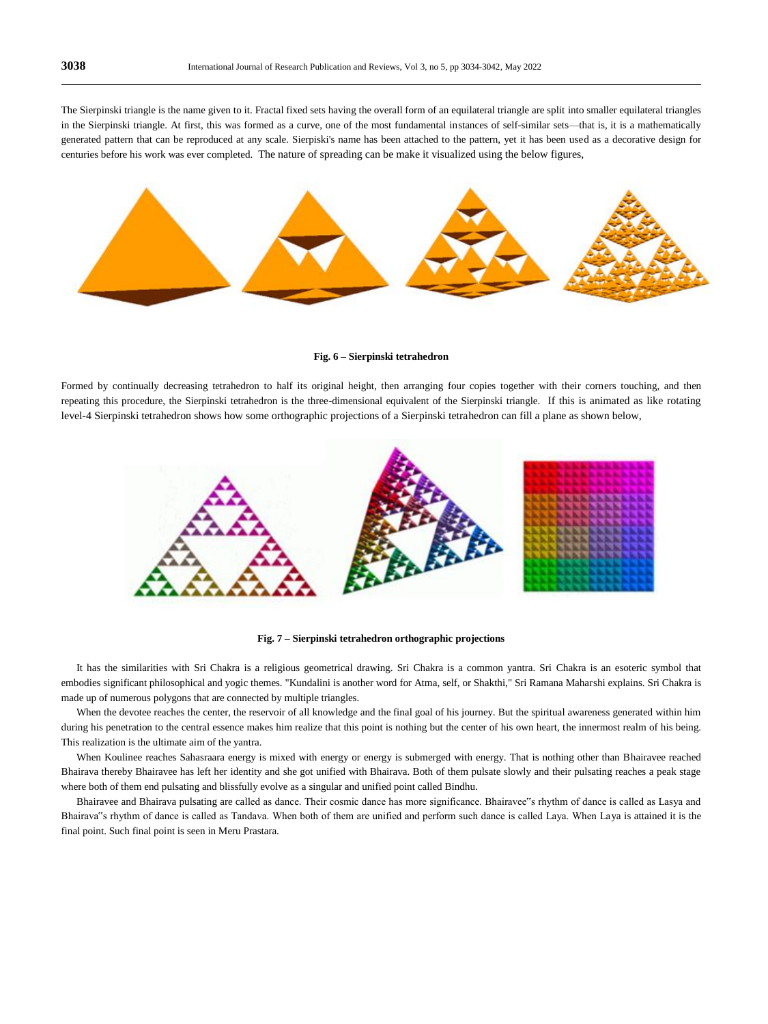The Sierpinski triangle is the name given to it. Fractal fixed sets having the overall form of an equilateral triangle are split into smaller equilateral triangles in the Sierpinski triangle. At first, this was formed as a curve, one of the most fundamental instances of self-similar sets—that is, it is a mathematically generated pattern that can be reproduced at any scale. Sierpiski's name has been attached to the pattern, yet it has been used as a decorative design for centuries before his work was ever completed. The nature of spreading can be make it visualized using the below figures,



**Fig. 6 – Sierpinski tetrahedron**

Formed by continually decreasing tetrahedron to half its original height, then arranging four copies together with their corners touching, and then repeating this procedure, the Sierpinski tetrahedron is the three-dimensional equivalent of the Sierpinski triangle. If this is animated as like rotating level-4 Sierpinski tetrahedron shows how some orthographic projections of a Sierpinski tetrahedron can fill a plane as shown below,





It has the similarities with Sri Chakra is a religious geometrical drawing. Sri Chakra is a common yantra. Sri Chakra is an esoteric symbol that embodies significant philosophical and yogic themes. "Kundalini is another word for Atma, self, or Shakthi," Sri Ramana Maharshi explains. Sri Chakra is made up of numerous polygons that are connected by multiple triangles.

When the devotee reaches the center, the reservoir of all knowledge and the final goal of his journey. But the spiritual awareness generated within him during his penetration to the central essence makes him realize that this point is nothing but the center of his own heart, the innermost realm of his being. This realization is the ultimate aim of the yantra.

When Koulinee reaches Sahasraara energy is mixed with energy or energy is submerged with energy. That is nothing other than Bhairavee reached Bhairava thereby Bhairavee has left her identity and she got unified with Bhairava. Both of them pulsate slowly and their pulsating reaches a peak stage where both of them end pulsating and blissfully evolve as a singular and unified point called Bindhu.

Bhairavee and Bhairava pulsating are called as dance. Their cosmic dance has more significance. Bhairavee"s rhythm of dance is called as Lasya and Bhairava"s rhythm of dance is called as Tandava. When both of them are unified and perform such dance is called Laya. When Laya is attained it is the final point. Such final point is seen in Meru Prastara.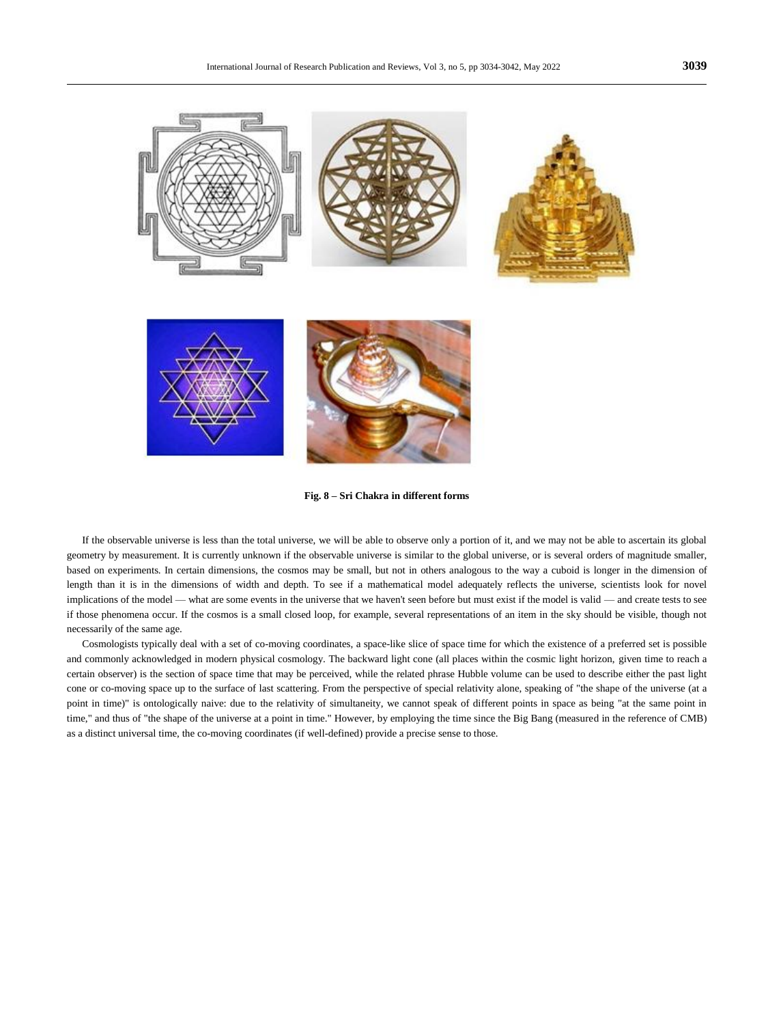

**Fig. 8 – Sri Chakra in different forms**

If the observable universe is less than the total universe, we will be able to observe only a portion of it, and we may not be able to ascertain its global geometry by measurement. It is currently unknown if the observable universe is similar to the global universe, or is several orders of magnitude smaller, based on experiments. In certain dimensions, the cosmos may be small, but not in others analogous to the way a cuboid is longer in the dimension of length than it is in the dimensions of width and depth. To see if a mathematical model adequately reflects the universe, scientists look for novel implications of the model — what are some events in the universe that we haven't seen before but must exist if the model is valid — and create tests to see if those phenomena occur. If the cosmos is a small closed loop, for example, several representations of an item in the sky should be visible, though not necessarily of the same age.

Cosmologists typically deal with a set of co-moving coordinates, a space-like slice of space time for which the existence of a preferred set is possible and commonly acknowledged in modern physical cosmology. The backward light cone (all places within the cosmic light horizon, given time to reach a certain observer) is the section of space time that may be perceived, while the related phrase Hubble volume can be used to describe either the past light cone or co-moving space up to the surface of last scattering. From the perspective of special relativity alone, speaking of "the shape of the universe (at a point in time)" is ontologically naive: due to the relativity of simultaneity, we cannot speak of different points in space as being "at the same point in time," and thus of "the shape of the universe at a point in time." However, by employing the time since the Big Bang (measured in the reference of CMB) as a distinct universal time, the co-moving coordinates (if well-defined) provide a precise sense to those.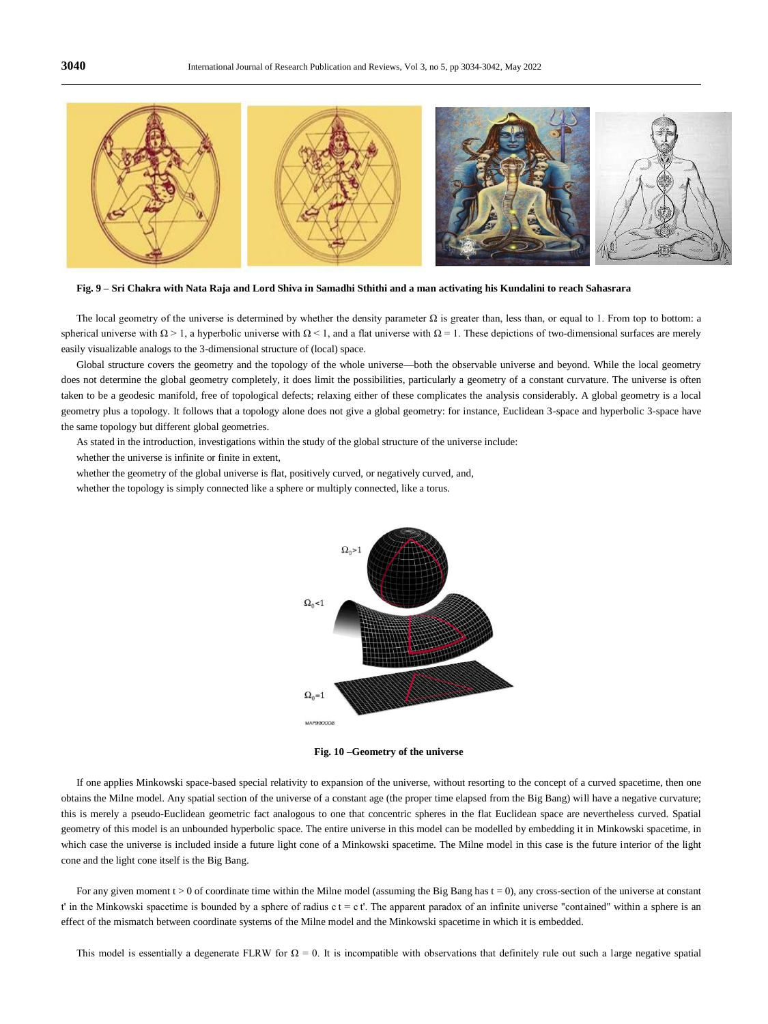

**Fig. 9 – Sri Chakra with Nata Raja and Lord Shiva in Samadhi Sthithi and a man activating his Kundalini to reach Sahasrara**

The local geometry of the universe is determined by whether the density parameter  $\Omega$  is greater than, less than, or equal to 1. From top to bottom: a spherical universe with  $\Omega > 1$ , a hyperbolic universe with  $\Omega < 1$ , and a flat universe with  $\Omega = 1$ . These depictions of two-dimensional surfaces are merely easily visualizable analogs to the 3-dimensional structure of (local) space.

Global structure covers the geometry and the topology of the whole universe—both the observable universe and beyond. While the local geometry does not determine the global geometry completely, it does limit the possibilities, particularly a geometry of a constant curvature. The universe is often taken to be a geodesic manifold, free of topological defects; relaxing either of these complicates the analysis considerably. A global geometry is a local geometry plus a topology. It follows that a topology alone does not give a global geometry: for instance, Euclidean 3-space and hyperbolic 3-space have the same topology but different global geometries.

As stated in the introduction, investigations within the study of the global structure of the universe include:

whether the universe is infinite or finite in extent,

whether the geometry of the global universe is flat, positively curved, or negatively curved, and,

whether the topology is simply connected like a sphere or multiply connected, like a torus.



**Fig. 10 –Geometry of the universe**

If one applies Minkowski space-based special relativity to expansion of the universe, without resorting to the concept of a curved spacetime, then one obtains the Milne model. Any spatial section of the universe of a constant age (the proper time elapsed from the Big Bang) will have a negative curvature; this is merely a pseudo-Euclidean geometric fact analogous to one that concentric spheres in the flat Euclidean space are nevertheless curved. Spatial geometry of this model is an unbounded hyperbolic space. The entire universe in this model can be modelled by embedding it in Minkowski spacetime, in which case the universe is included inside a future light cone of a Minkowski spacetime. The Milne model in this case is the future interior of the light cone and the light cone itself is the Big Bang.

For any given moment  $t > 0$  of coordinate time within the Milne model (assuming the Big Bang has  $t = 0$ ), any cross-section of the universe at constant t' in the Minkowski spacetime is bounded by a sphere of radius c t = c t'. The apparent paradox of an infinite universe "contained" within a sphere is an effect of the mismatch between coordinate systems of the Milne model and the Minkowski spacetime in which it is embedded.

This model is essentially a degenerate FLRW for  $\Omega = 0$ . It is incompatible with observations that definitely rule out such a large negative spatial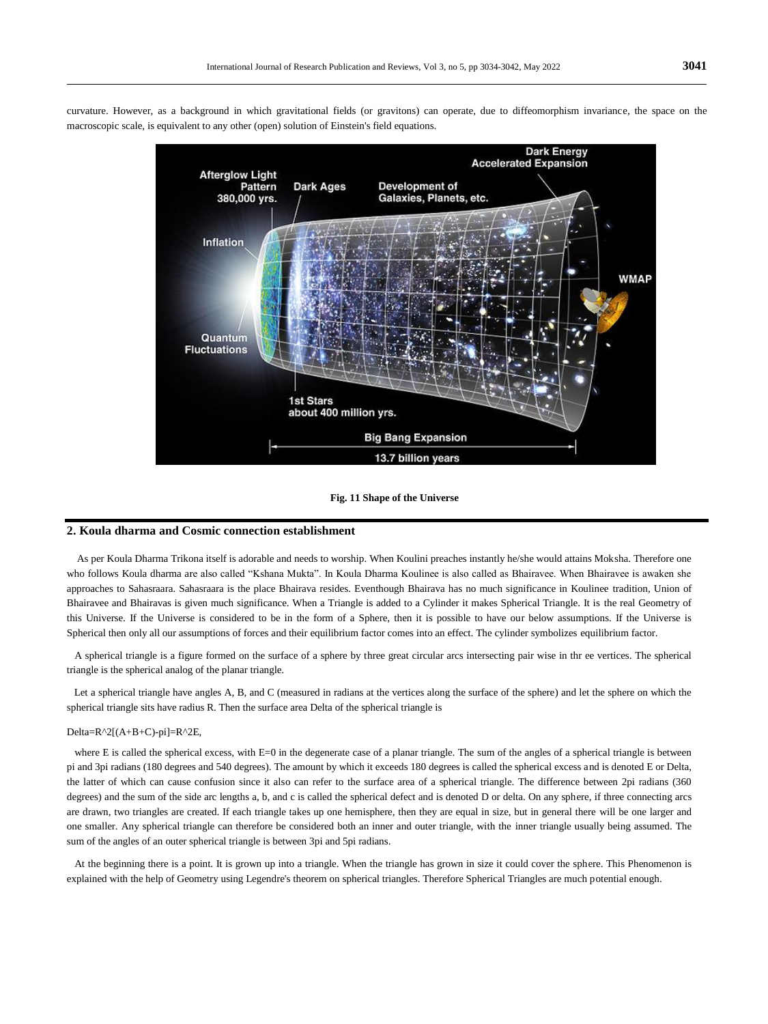**Dark Energy Accelerated Expansion Afterglow Light** Pattern **Dark Ages** Development of 380,000 yrs. Galaxies, Planets, etc. Inflation **WMAP** Quantum **Fluctuations 1st Stars** about 400 million yrs. **Big Bang Expansion** 13.7 billion years

curvature. However, as a background in which gravitational fields (or gravitons) can operate, due to diffeomorphism invariance, the space on the macroscopic scale, is equivalent to any other (open) solution of Einstein's field equations.

#### **Fig. 11 Shape of the Universe**

## **2. Koula dharma and Cosmic connection establishment**

As per Koula Dharma Trikona itself is adorable and needs to worship. When Koulini preaches instantly he/she would attains Moksha. Therefore one who follows Koula dharma are also called "Kshana Mukta". In Koula Dharma Koulinee is also called as Bhairavee. When Bhairavee is awaken she approaches to Sahasraara. Sahasraara is the place Bhairava resides. Eventhough Bhairava has no much significance in Koulinee tradition, Union of Bhairavee and Bhairavas is given much significance. When a Triangle is added to a Cylinder it makes Spherical Triangle. It is the real Geometry of this Universe. If the Universe is considered to be in the form of a Sphere, then it is possible to have our below assumptions. If the Universe is Spherical then only all our assumptions of forces and their equilibrium factor comes into an effect. The cylinder symbolizes equilibrium factor.

A spherical triangle is a figure formed on the surface of a sphere by three great circular arcs intersecting pair wise in thr ee vertices. The spherical triangle is the spherical analog of the planar triangle.

Let a spherical triangle have angles A, B, and C (measured in radians at the vertices along the surface of the sphere) and let the sphere on which the spherical triangle sits have radius R. Then the surface area Delta of the spherical triangle is

#### Delta=R^2[(A+B+C)-pi]=R^2E,

where E is called the spherical excess, with E=0 in the degenerate case of a planar triangle. The sum of the angles of a spherical triangle is between pi and 3pi radians (180 degrees and 540 degrees). The amount by which it exceeds 180 degrees is called the spherical excess and is denoted E or Delta, the latter of which can cause confusion since it also can refer to the surface area of a spherical triangle. The difference between 2pi radians (360 degrees) and the sum of the side arc lengths a, b, and c is called the spherical defect and is denoted D or delta. On any sphere, if three connecting arcs are drawn, two triangles are created. If each triangle takes up one hemisphere, then they are equal in size, but in general there will be one larger and one smaller. Any spherical triangle can therefore be considered both an inner and outer triangle, with the inner triangle usually being assumed. The sum of the angles of an outer spherical triangle is between 3pi and 5pi radians.

At the beginning there is a point. It is grown up into a triangle. When the triangle has grown in size it could cover the sphere. This Phenomenon is explained with the help of Geometry using Legendre's theorem on spherical triangles. Therefore Spherical Triangles are much potential enough.